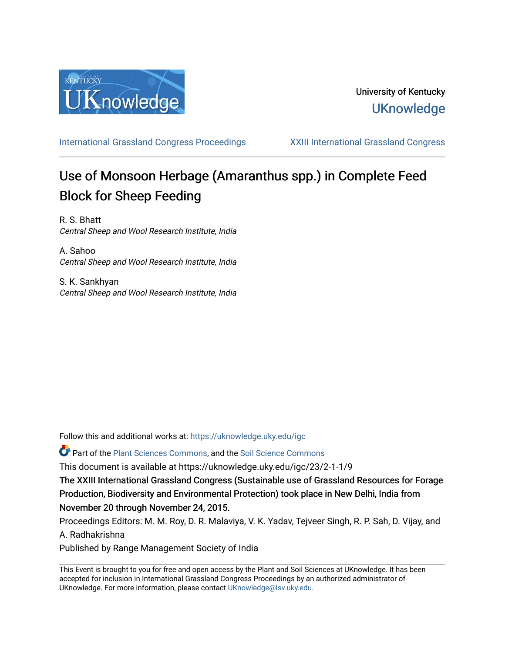

[International Grassland Congress Proceedings](https://uknowledge.uky.edu/igc) [XXIII International Grassland Congress](https://uknowledge.uky.edu/igc/23) 

# Use of Monsoon Herbage (Amaranthus spp.) in Complete Feed Block for Sheep Feeding

R. S. Bhatt Central Sheep and Wool Research Institute, India

A. Sahoo Central Sheep and Wool Research Institute, India

S. K. Sankhyan Central Sheep and Wool Research Institute, India

Follow this and additional works at: [https://uknowledge.uky.edu/igc](https://uknowledge.uky.edu/igc?utm_source=uknowledge.uky.edu%2Figc%2F23%2F2-1-1%2F9&utm_medium=PDF&utm_campaign=PDFCoverPages) 

Part of the [Plant Sciences Commons](http://network.bepress.com/hgg/discipline/102?utm_source=uknowledge.uky.edu%2Figc%2F23%2F2-1-1%2F9&utm_medium=PDF&utm_campaign=PDFCoverPages), and the [Soil Science Commons](http://network.bepress.com/hgg/discipline/163?utm_source=uknowledge.uky.edu%2Figc%2F23%2F2-1-1%2F9&utm_medium=PDF&utm_campaign=PDFCoverPages) 

This document is available at https://uknowledge.uky.edu/igc/23/2-1-1/9

The XXIII International Grassland Congress (Sustainable use of Grassland Resources for Forage Production, Biodiversity and Environmental Protection) took place in New Delhi, India from November 20 through November 24, 2015.

Proceedings Editors: M. M. Roy, D. R. Malaviya, V. K. Yadav, Tejveer Singh, R. P. Sah, D. Vijay, and A. Radhakrishna

Published by Range Management Society of India

This Event is brought to you for free and open access by the Plant and Soil Sciences at UKnowledge. It has been accepted for inclusion in International Grassland Congress Proceedings by an authorized administrator of UKnowledge. For more information, please contact [UKnowledge@lsv.uky.edu](mailto:UKnowledge@lsv.uky.edu).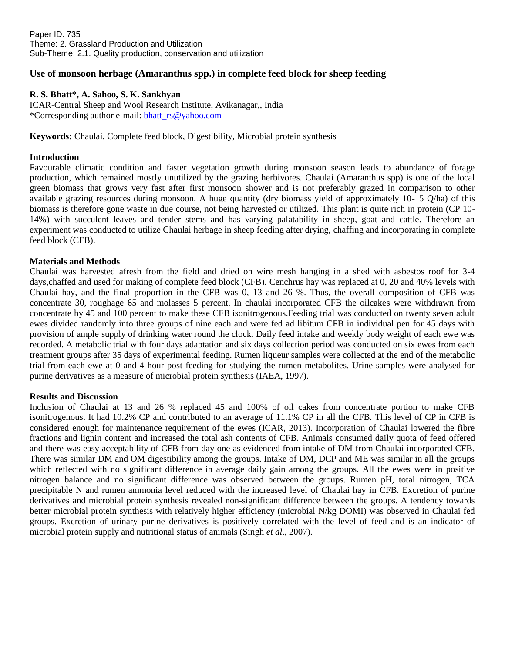## **Use of monsoon herbage (Amaranthus spp.) in complete feed block for sheep feeding**

## **R. S. Bhatt\*, A. Sahoo, S. K. Sankhyan**

ICAR-Central Sheep and Wool Research Institute, Avikanagar,, India \*Corresponding author e-mail: [bhatt\\_rs@yahoo.com](mailto:bhatt_rs@yahoo.com)

**Keywords:** Chaulai, Complete feed block, Digestibility, Microbial protein synthesis

#### **Introduction**

Favourable climatic condition and faster vegetation growth during monsoon season leads to abundance of forage production, which remained mostly unutilized by the grazing herbivores. Chaulai (Amaranthus spp) is one of the local green biomass that grows very fast after first monsoon shower and is not preferably grazed in comparison to other available grazing resources during monsoon. A huge quantity (dry biomass yield of approximately 10-15 Q/ha) of this biomass is therefore gone waste in due course, not being harvested or utilized. This plant is quite rich in protein (CP 10- 14%) with succulent leaves and tender stems and has varying palatability in sheep, goat and cattle. Therefore an experiment was conducted to utilize Chaulai herbage in sheep feeding after drying, chaffing and incorporating in complete feed block (CFB).

#### **Materials and Methods**

Chaulai was harvested afresh from the field and dried on wire mesh hanging in a shed with asbestos roof for 3-4 days,chaffed and used for making of complete feed block (CFB). Cenchrus hay was replaced at 0, 20 and 40% levels with Chaulai hay, and the final proportion in the CFB was 0, 13 and 26 %. Thus, the overall composition of CFB was concentrate 30, roughage 65 and molasses 5 percent. In chaulai incorporated CFB the oilcakes were withdrawn from concentrate by 45 and 100 percent to make these CFB isonitrogenous.Feeding trial was conducted on twenty seven adult ewes divided randomly into three groups of nine each and were fed ad libitum CFB in individual pen for 45 days with provision of ample supply of drinking water round the clock. Daily feed intake and weekly body weight of each ewe was recorded. A metabolic trial with four days adaptation and six days collection period was conducted on six ewes from each treatment groups after 35 days of experimental feeding. Rumen liqueur samples were collected at the end of the metabolic trial from each ewe at 0 and 4 hour post feeding for studying the rumen metabolites. Urine samples were analysed for purine derivatives as a measure of microbial protein synthesis (IAEA, 1997).

#### **Results and Discussion**

Inclusion of Chaulai at 13 and 26 % replaced 45 and 100% of oil cakes from concentrate portion to make CFB isonitrogenous. It had 10.2% CP and contributed to an average of 11.1% CP in all the CFB. This level of CP in CFB is considered enough for maintenance requirement of the ewes (ICAR, 2013). Incorporation of Chaulai lowered the fibre fractions and lignin content and increased the total ash contents of CFB. Animals consumed daily quota of feed offered and there was easy acceptability of CFB from day one as evidenced from intake of DM from Chaulai incorporated CFB. There was similar DM and OM digestibility among the groups. Intake of DM, DCP and ME was similar in all the groups which reflected with no significant difference in average daily gain among the groups. All the ewes were in positive nitrogen balance and no significant difference was observed between the groups. Rumen pH, total nitrogen, TCA precipitable N and rumen ammonia level reduced with the increased level of Chaulai hay in CFB. Excretion of purine derivatives and microbial protein synthesis revealed non-significant difference between the groups. A tendency towards better microbial protein synthesis with relatively higher efficiency (microbial N/kg DOMI) was observed in Chaulai fed groups. Excretion of urinary purine derivatives is positively correlated with the level of feed and is an indicator of microbial protein supply and nutritional status of animals (Singh *et al*., 2007).